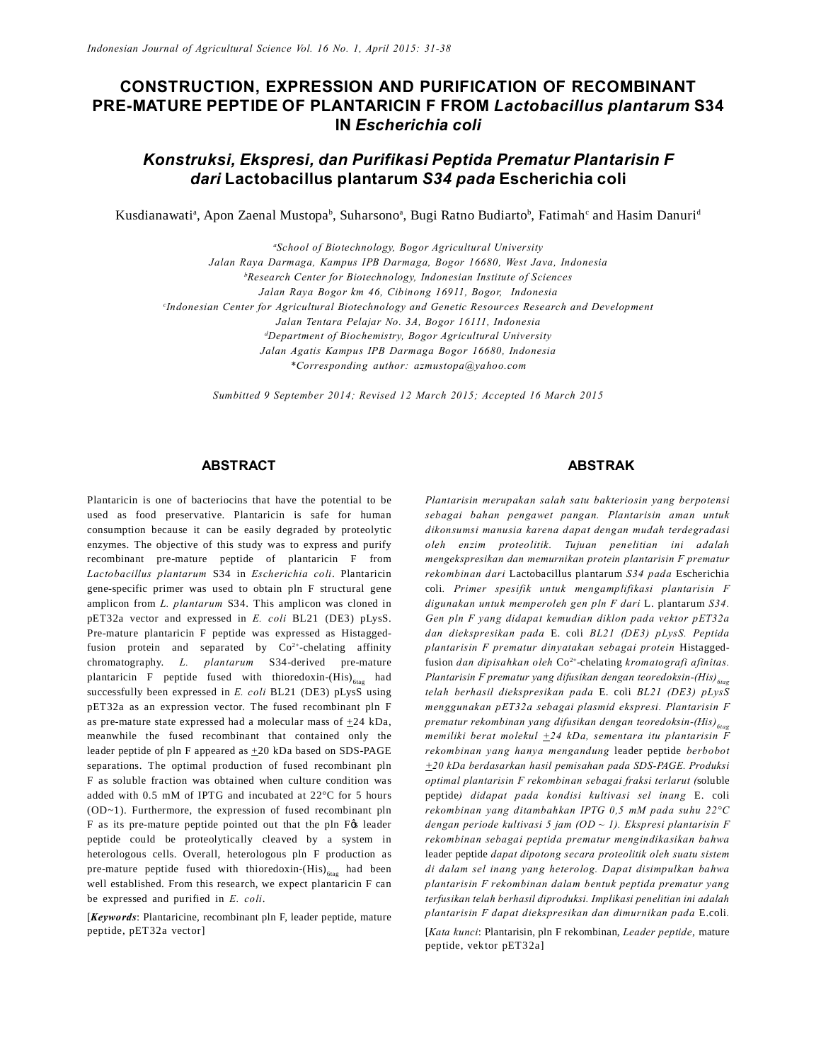# **CONSTRUCTION, EXPRESSION AND PURIFICATION OF RECOMBINANT PRE-MATURE PEPTIDE OF PLANTARICIN F FROM** *Lactobacillus plantarum* **S34 IN** *Escherichia coli*

# *Konstruksi, Ekspresi, dan Purifikasi Peptida Prematur Plantarisin F dari* **Lactobacillus plantarum** *S34 pada* **Escherichia coli**

Kusdianawati<sup>a</sup>, Apon Zaenal Mustopa<sup>b</sup>, Suharsono<sup>a</sup>, Bugi Ratno Budiarto<sup>b</sup>, Fatimah<sup>c</sup> and Hasim Danuri<sup>d</sup>

*a School of Biotechnology, Bogor Agricultural University Jalan Raya Darmaga, Kampus IPB Darmaga, Bogor 16680, West Java, Indonesia b Research Center for Biotechnology, Indonesian Institute of Sciences Jalan Raya Bogor km 46, Cibinong 16911, Bogor, Indonesia c Indonesian Center for Agricultural Biotechnology and Genetic Resources Research and Development Jalan Tentara Pelajar No. 3A, Bogor 16111, Indonesia d Department of Biochemistry, Bogor Agricultural University Jalan Agatis Kampus IPB Darmaga Bogor 16680, Indonesia \*Corresponding author: azmustopa@yahoo.com*

*Sumbitted 9 September 2014; Revised 12 March 2015; Accepted 16 March 2015*

## **ABSTRACT**

Plantaricin is one of bacteriocins that have the potential to be used as food preservative. Plantaricin is safe for human consumption because it can be easily degraded by proteolytic enzymes. The objective of this study was to express and purify recombinant pre-mature peptide of plantaricin F from *Lactobacillus plantarum* S34 in *Escherichia coli*. Plantaricin gene-specific primer was used to obtain pln F structural gene amplicon from *L. plantarum* S34. This amplicon was cloned in pET32a vector and expressed in *E. coli* BL21 (DE3) pLysS. Pre-mature plantaricin F peptide was expressed as Histaggedfusion protein and separated by  $Co<sup>2+</sup>$ -chelating affinity chromatography. *L. plantarum* S34-derived pre-mature plantaricin F peptide fused with thioredoxin- $(His)_{fifag}$  had successfully been expressed in *E. coli* BL21 (DE3) pLysS using pET32a as an expression vector. The fused recombinant pln F as pre-mature state expressed had a molecular mass of  $+24$  kDa, meanwhile the fused recombinant that contained only the leader peptide of pln F appeared as  $\pm 20$  kDa based on SDS-PAGE separations. The optimal production of fused recombinant pln F as soluble fraction was obtained when culture condition was added with 0.5 mM of IPTG and incubated at 22°C for 5 hours (OD~1). Furthermore, the expression of fused recombinant pln F as its pre-mature peptide pointed out that the pln F& leader peptide could be proteolytically cleaved by a system in heterologous cells. Overall, heterologous pln F production as pre-mature peptide fused with thioredoxin- $(His)_{\text{frac}}$  had been well established. From this research, we expect plantaricin F can be expressed and purified in *E. coli*.

[*Keywords*: Plantaricine, recombinant pln F, leader peptide, mature peptide, pET32a vector]

## **ABSTRAK**

*Plantarisin merupakan salah satu bakteriosin yang berpotensi sebagai bahan pengawet pangan. Plantarisin aman untuk dikonsumsi manusia karena dapat dengan mudah terdegradasi oleh enzim proteolitik. Tujuan penelitian ini adalah mengekspresikan dan memurnikan protein plantarisin F prematur rekombinan dari* Lactobacillus plantarum *S34 pada* Escherichia coli*. Primer spesifik untuk mengamplifikasi plantarisin F digunakan untuk memperoleh gen pln F dari* L. plantarum *S34. Gen pln F yang didapat kemudian diklon pada vektor pET32a dan diekspresikan pada* E. coli *BL21 (DE3) pLysS. Peptida plantarisin F prematur dinyatakan sebagai protein* Histaggedfusion *dan dipisahkan oleh* Co2+-chelating *kromatografi afinitas. Plantarisin F prematur yang difusikan dengan teoredoksin-(His)*<sub>6tag</sub> *telah berhasil diekspresikan pada* E. coli *BL21 (DE3) pLysS menggunakan pET32a sebagai plasmid ekspresi. Plantarisin F prematur rekombinan yang difusikan dengan teoredoksin-(His)*<sub>6tag</sub> *memiliki berat molekul +24 kDa, sementara itu plantarisin F rekombinan yang hanya mengandung* leader peptide *berbobot +20 kDa berdasarkan hasil pemisahan pada SDS-PAGE. Produksi optimal plantarisin F rekombinan sebagai fraksi terlarut (*soluble peptide*) didapat pada kondisi kultivasi sel inang* E. coli *rekombinan yang ditambahkan IPTG 0,5 mM pada suhu 22°C dengan periode kultivasi 5 jam (OD ~ 1). Ekspresi plantarisin F rekombinan sebagai peptida prematur mengindikasikan bahwa* leader peptide *dapat dipotong secara proteolitik oleh suatu sistem di dalam sel inang yang heterolog. Dapat disimpulkan bahwa plantarisin F rekombinan dalam bentuk peptida prematur yang terfusikan telah berhasil diproduksi. Implikasi penelitian ini adalah plantarisin F dapat diekspresikan dan dimurnikan pada* E.coli*.*

[*Kata kunci*: Plantarisin, pln F rekombinan, *Leader peptide*, mature peptide, vektor pET32a]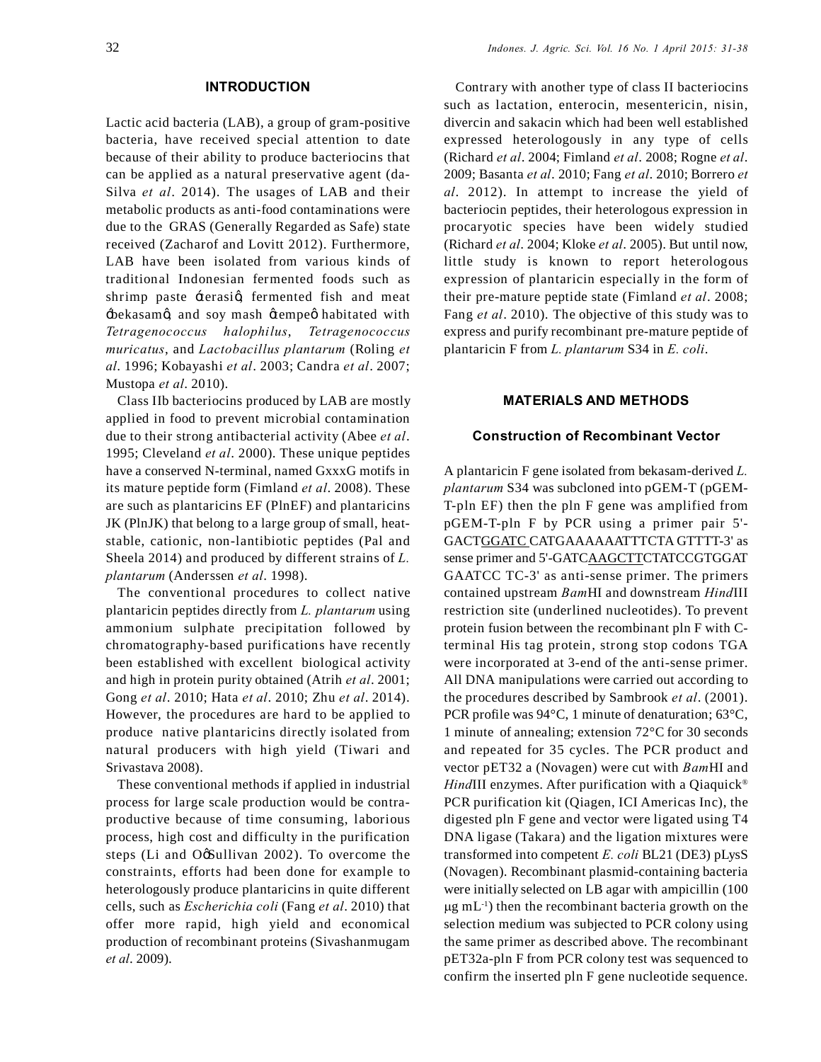### **INTRODUCTION**

Lactic acid bacteria (LAB), a group of gram-positive bacteria, have received special attention to date because of their ability to produce bacteriocins that can be applied as a natural preservative agent (da-Silva *et al*. 2014). The usages of LAB and their metabolic products as anti-food contaminations were due to the GRAS (Generally Regarded as Safe) state received (Zacharof and Lovitt 2012). Furthermore, LAB have been isolated from various kinds of traditional Indonesian fermented foods such as shrimp paste -terasig, fermented fish and meat  $\pm$ bekasamø, and soy mash øtempeø habitated with *Tetragenococcus halophilus*, *Tetragenococcus muricatus*, and *Lactobacillus plantarum* (Roling *et al*. 1996; Kobayashi *et al*. 2003; Candra *et al*. 2007; Mustopa *et al*. 2010).

Class IIb bacteriocins produced by LAB are mostly applied in food to prevent microbial contamination due to their strong antibacterial activity (Abee *et al*. 1995; Cleveland *et al*. 2000). These unique peptides have a conserved N-terminal, named GxxxG motifs in its mature peptide form (Fimland *et al*. 2008). These are such as plantaricins EF (PlnEF) and plantaricins JK (PlnJK) that belong to a large group of small, heatstable, cationic, non-lantibiotic peptides (Pal and Sheela 2014) and produced by different strains of *L. plantarum* (Anderssen *et al*. 1998).

The conventional procedures to collect native plantaricin peptides directly from *L. plantarum* using ammonium sulphate precipitation followed by chromatography-based purifications have recently been established with excellent biological activity and high in protein purity obtained (Atrih *et al*. 2001; Gong *et al*. 2010; Hata *et al*. 2010; Zhu *et al*. 2014). However, the procedures are hard to be applied to produce native plantaricins directly isolated from natural producers with high yield (Tiwari and Srivastava 2008).

These conventional methods if applied in industrial process for large scale production would be contraproductive because of time consuming, laborious process, high cost and difficulty in the purification steps (Li and OøSullivan 2002). To overcome the constraints, efforts had been done for example to heterologously produce plantaricins in quite different cells, such as *Escherichia coli* (Fang *et al*. 2010) that offer more rapid, high yield and economical production of recombinant proteins (Sivashanmugam *et al*. 2009).

Contrary with another type of class II bacteriocins such as lactation, enterocin, mesentericin, nisin, divercin and sakacin which had been well established expressed heterologously in any type of cells (Richard *et al*. 2004; Fimland *et al*. 2008; Rogne *et al*. 2009; Basanta *et al*. 2010; Fang *et al*. 2010; Borrero *et al*. 2012). In attempt to increase the yield of bacteriocin peptides, their heterologous expression in procaryotic species have been widely studied (Richard *et al*. 2004; Kloke *et al*. 2005). But until now, little study is known to report heterologous expression of plantaricin especially in the form of their pre-mature peptide state (Fimland *et al*. 2008; Fang *et al*. 2010). The objective of this study was to express and purify recombinant pre-mature peptide of plantaricin F from *L. plantarum* S34 in *E. coli*.

## **MATERIALS AND METHODS**

#### **Construction of Recombinant Vector**

A plantaricin F gene isolated from bekasam-derived *L. plantarum* S34 was subcloned into pGEM-T (pGEM-T-pln EF) then the pln F gene was amplified from pGEM-T-pln F by PCR using a primer pair 5'- GACTGGATC CATGAAAAAATTTCTA GTTTT-3' as sense primer and 5'-GATCAAGCTTCTATCCGTGGAT GAATCC TC-3' as anti-sense primer. The primers contained upstream *Bam*HI and downstream *Hind*III restriction site (underlined nucleotides). To prevent protein fusion between the recombinant pln F with Cterminal His tag protein, strong stop codons TGA were incorporated at 3-end of the anti-sense primer. All DNA manipulations were carried out according to the procedures described by Sambrook *et al*. (2001). PCR profile was 94°C, 1 minute of denaturation; 63°C, 1 minute of annealing; extension 72°C for 30 seconds and repeated for 35 cycles. The PCR product and vector pET32 a (Novagen) were cut with *Bam*HI and *HindIII* enzymes. After purification with a Qiaquick<sup>®</sup> PCR purification kit (Qiagen, ICI Americas Inc), the digested pln F gene and vector were ligated using T4 DNA ligase (Takara) and the ligation mixtures were transformed into competent *E. coli* BL21 (DE3) pLysS (Novagen). Recombinant plasmid-containing bacteria were initially selected on LB agar with ampicillin (100  $\mu$ g mL<sup>-1</sup>) then the recombinant bacteria growth on the selection medium was subjected to PCR colony using the same primer as described above. The recombinant pET32a-pln F from PCR colony test was sequenced to confirm the inserted pln F gene nucleotide sequence.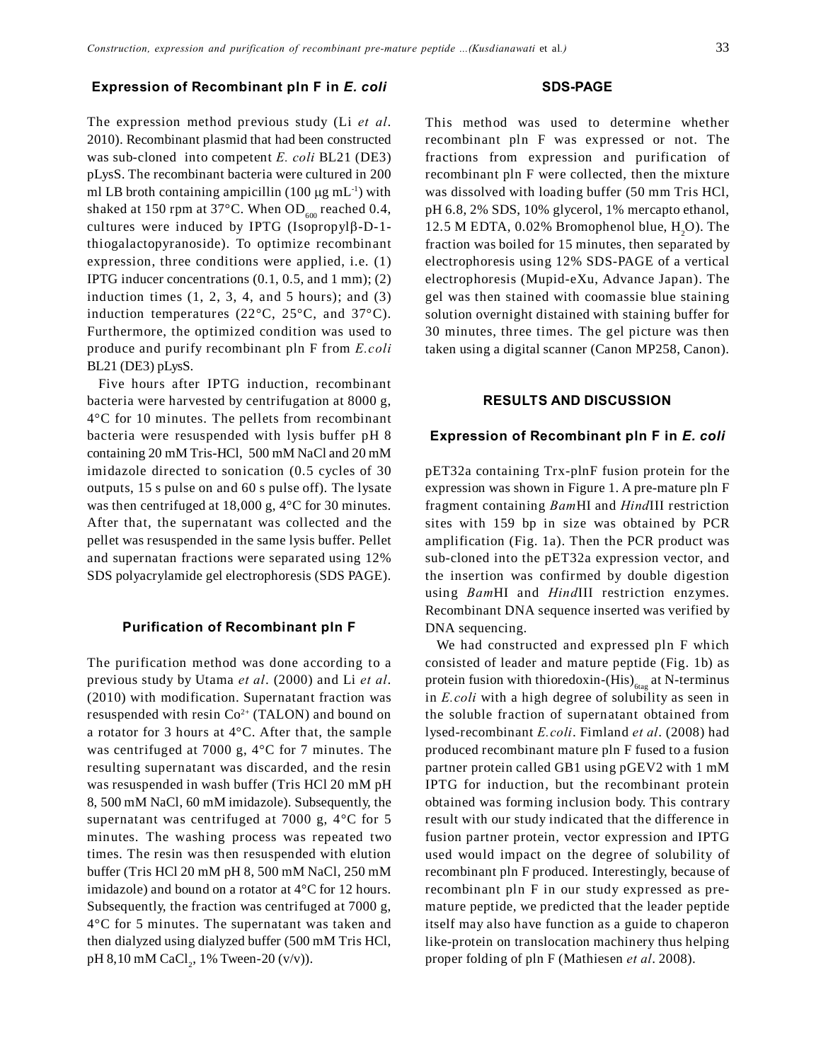#### **Expression of Recombinant pln F in** *E. coli*

The expression method previous study (Li *et al*. 2010). Recombinant plasmid that had been constructed was sub-cloned into competent *E. coli* BL21 (DE3) pLysS. The recombinant bacteria were cultured in 200 ml LB broth containing ampicillin  $(100 \mu g \text{ mL}^{-1})$  with shaked at 150 rpm at 37 $^{\circ}$ C. When OD<sub>600</sub> reached 0.4, cultures were induced by IPTG (Isopropyl $\beta$ -D-1thiogalactopyranoside). To optimize recombinant expression, three conditions were applied, i.e. (1) IPTG inducer concentrations  $(0.1, 0.5, \text{and } 1 \text{ mm})$ ;  $(2)$ induction times  $(1, 2, 3, 4,$  and  $5$  hours); and  $(3)$ induction temperatures (22°C, 25°C, and 37°C). Furthermore, the optimized condition was used to produce and purify recombinant pln F from *E.coli* BL21 (DE3) pLysS.

Five hours after IPTG induction, recombinant bacteria were harvested by centrifugation at 8000 g, 4°C for 10 minutes. The pellets from recombinant bacteria were resuspended with lysis buffer pH 8 containing 20 mM Tris-HCl, 500 mM NaCl and 20 mM imidazole directed to sonication (0.5 cycles of 30 outputs, 15 s pulse on and 60 s pulse off). The lysate was then centrifuged at 18,000 g, 4°C for 30 minutes. After that, the supernatant was collected and the pellet was resuspended in the same lysis buffer. Pellet and supernatan fractions were separated using 12% SDS polyacrylamide gel electrophoresis (SDS PAGE).

### **Purification of Recombinant pln F**

The purification method was done according to a previous study by Utama *et al*. (2000) and Li *et al*. (2010) with modification. Supernatant fraction was resuspended with resin  $Co<sup>2+</sup>$  (TALON) and bound on a rotator for 3 hours at 4°C. After that, the sample was centrifuged at 7000 g, 4°C for 7 minutes. The resulting supernatant was discarded, and the resin was resuspended in wash buffer (Tris HCl 20 mM pH 8, 500 mM NaCl, 60 mM imidazole). Subsequently, the supernatant was centrifuged at 7000 g, 4°C for 5 minutes. The washing process was repeated two times. The resin was then resuspended with elution buffer (Tris HCl 20 mM pH 8, 500 mM NaCl, 250 mM imidazole) and bound on a rotator at 4°C for 12 hours. Subsequently, the fraction was centrifuged at 7000 g, 4°C for 5 minutes. The supernatant was taken and then dialyzed using dialyzed buffer (500 mM Tris HCl, pH 8,10 mM CaCl<sub>2</sub>, 1% Tween-20 (v/v)).

#### **SDS-PAGE**

This method was used to determine whether recombinant pln F was expressed or not. The fractions from expression and purification of recombinant pln F were collected, then the mixture was dissolved with loading buffer (50 mm Tris HCl, pH 6.8, 2% SDS, 10% glycerol, 1% mercapto ethanol, 12.5 M EDTA,  $0.02\%$  Bromophenol blue,  $H_2O$ ). The fraction was boiled for 15 minutes, then separated by electrophoresis using 12% SDS-PAGE of a vertical electrophoresis (Mupid-eXu, Advance Japan). The gel was then stained with coomassie blue staining solution overnight distained with staining buffer for 30 minutes, three times. The gel picture was then taken using a digital scanner (Canon MP258, Canon).

### **RESULTS AND DISCUSSION**

#### **Expression of Recombinant pln F in** *E. coli*

pET32a containing Trx-plnF fusion protein for the expression was shown in Figure 1. A pre-mature pln F fragment containing *Bam*HI and *Hind*III restriction sites with 159 bp in size was obtained by PCR amplification (Fig. 1a). Then the PCR product was sub-cloned into the pET32a expression vector, and the insertion was confirmed by double digestion using *Bam*HI and *Hind*III restriction enzymes. Recombinant DNA sequence inserted was verified by DNA sequencing.

We had constructed and expressed pln F which consisted of leader and mature peptide (Fig. 1b) as protein fusion with thioredoxin-(His) $_{6\tan}$  at N-terminus in *E.coli* with a high degree of solubility as seen in the soluble fraction of supernatant obtained from lysed-recombinant *E.coli*. Fimland *et al*. (2008) had produced recombinant mature pln F fused to a fusion partner protein called GB1 using pGEV2 with 1 mM IPTG for induction, but the recombinant protein obtained was forming inclusion body. This contrary result with our study indicated that the difference in fusion partner protein, vector expression and IPTG used would impact on the degree of solubility of recombinant pln F produced. Interestingly, because of recombinant pln F in our study expressed as premature peptide, we predicted that the leader peptide itself may also have function as a guide to chaperon like-protein on translocation machinery thus helping proper folding of pln F (Mathiesen *et al*. 2008).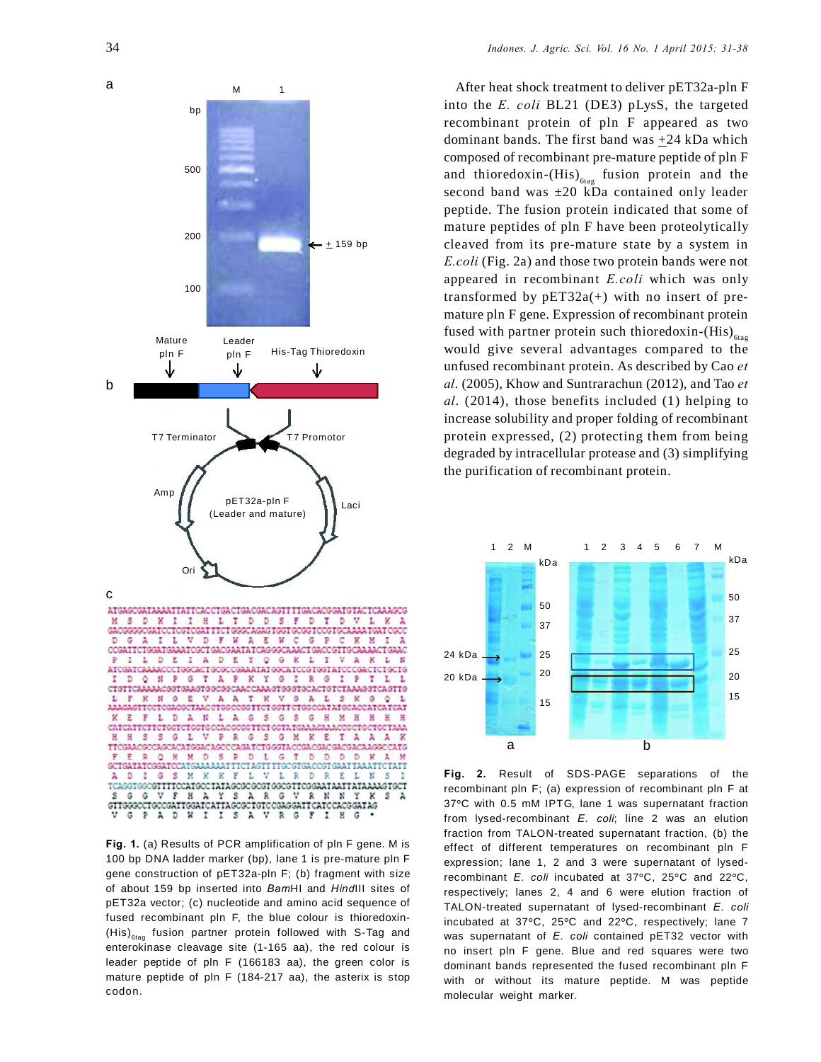

**Fig. 1.** (a) Results of PCR amplification of pln F gene. M is 100 bp DNA ladder marker (bp), lane 1 is pre-mature pln F gene construction of pET32a-pln F; (b) fragment with size of about 159 bp inserted into *Bam*HI and *Hind*III sites of pET32a vector; (c) nucleotide and amino acid sequence of fused recombinant pln F, the blue colour is thioredoxin-  $(His)_{\text{ftaq}}$  fusion partner protein followed with S-Tag and enterokinase cleavage site (1-165 aa), the red colour is leader peptide of pln F (166183 aa), the green color is mature peptide of pln F (184-217 aa), the asterix is stop codon.

After heat shock treatment to deliver pET32a-pln F into the *E. coli* BL21 (DE3) pLysS, the targeted recombinant protein of pln F appeared as two dominant bands. The first band was +24 kDa which composed of recombinant pre-mature peptide of pln F and thioredoxin- $(His)_{\text{diag}}$  fusion protein and the second band was ±20 kDa contained only leader peptide. The fusion protein indicated that some of mature peptides of pln F have been proteolytically cleaved from its pre-mature state by a system in *E.coli* (Fig. 2a) and those two protein bands were not appeared in recombinant *E.coli* which was only transformed by  $pET32a(+)$  with no insert of premature pln F gene. Expression of recombinant protein fused with partner protein such thioredoxin-(His) $_{61a}$ would give several advantages compared to the unfused recombinant protein. As described by Cao *et al*. (2005), Khow and Suntrarachun (2012), and Tao *et al*. (2014), those benefits included (1) helping to increase solubility and proper folding of recombinant protein expressed, (2) protecting them from being degraded by intracellular protease and (3) simplifying the purification of recombinant protein.



**Fig. 2.** Result of SDS-PAGE separations of the recombinant pln F; (a) expression of recombinant pln F at 37**°**C with 0.5 mM IPTG, lane 1 was supernatant fraction from lysed-recombinant *E. coli*; line 2 was an elution fraction from TALON-treated supernatant fraction, (b) the effect of different temperatures on recombinant pln F expression; lane 1, 2 and 3 were supernatant of lysedrecombinant *E. coli* incubated at 37**°**C, 25**°**C and 22**°**C, respectively; lanes 2, 4 and 6 were elution fraction of TALON-treated supernatant of lysed-recombinant *E. coli* incubated at 37**°**C, 25**°**C and 22**°**C, respectively; lane 7 was supernatant of *E. coli* contained pET32 vector with no insert pln F gene. Blue and red squares were two dominant bands represented the fused recombinant pln F with or without its mature peptide. M was peptide molecular weight marker.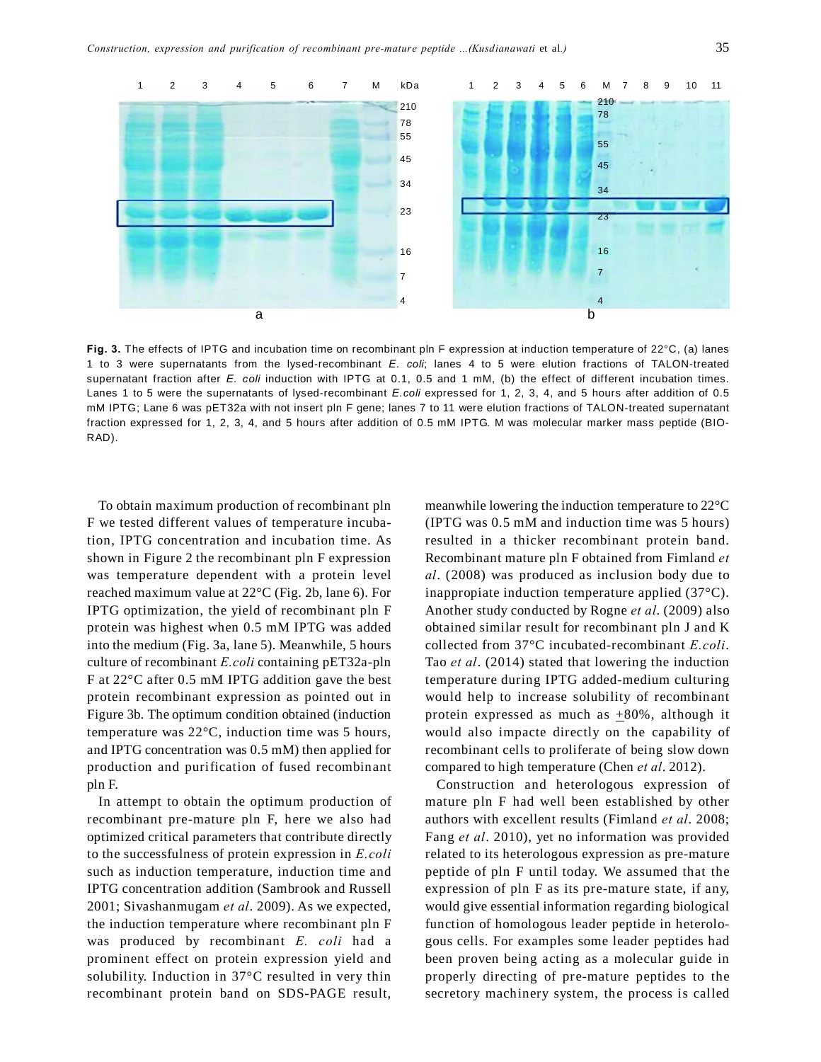

**Fig. 3.** The effects of IPTG and incubation time on recombinant pln F expression at induction temperature of 22°C, (a) lanes 1 to 3 were supernatants from the lysed-recombinant *E. coli*; lanes 4 to 5 were elution fractions of TALON-treated supernatant fraction after *E. coli* induction with IPTG at 0.1, 0.5 and 1 mM, (b) the effect of different incubation times. Lanes 1 to 5 were the supernatants of lysed-recombinant *E.coli* expressed for 1, 2, 3, 4, and 5 hours after addition of 0.5 mM IPTG; Lane 6 was pET32a with not insert pln F gene; lanes 7 to 11 were elution fractions of TALON-treated supernatant fraction expressed for 1, 2, 3, 4, and 5 hours after addition of 0.5 mM IPTG. M was molecular marker mass peptide (BIO-RAD).

To obtain maximum production of recombinant pln F we tested different values of temperature incubation, IPTG concentration and incubation time. As shown in Figure 2 the recombinant pln F expression was temperature dependent with a protein level reached maximum value at 22°C (Fig. 2b, lane 6). For IPTG optimization, the yield of recombinant pln F protein was highest when 0.5 mM IPTG was added into the medium (Fig. 3a, lane 5). Meanwhile, 5 hours culture of recombinant *E.coli* containing pET32a-pln F at 22°C after 0.5 mM IPTG addition gave the best protein recombinant expression as pointed out in Figure 3b. The optimum condition obtained (induction temperature was 22°C, induction time was 5 hours, and IPTG concentration was 0.5 mM) then applied for production and purification of fused recombinant pln F.

In attempt to obtain the optimum production of recombinant pre-mature pln F, here we also had optimized critical parameters that contribute directly to the successfulness of protein expression in *E.coli* such as induction temperature, induction time and IPTG concentration addition (Sambrook and Russell 2001; Sivashanmugam *et al*. 2009). As we expected, the induction temperature where recombinant pln F was produced by recombinant *E. coli* had a prominent effect on protein expression yield and solubility. Induction in 37°C resulted in very thin recombinant protein band on SDS-PAGE result,

meanwhile lowering the induction temperature to 22°C (IPTG was 0.5 mM and induction time was 5 hours) resulted in a thicker recombinant protein band. Recombinant mature pln F obtained from Fimland *et al*. (2008) was produced as inclusion body due to inappropiate induction temperature applied (37°C). Another study conducted by Rogne *et al*. (2009) also obtained similar result for recombinant pln J and K collected from 37°C incubated-recombinant *E.coli*. Tao *et al*. (2014) stated that lowering the induction temperature during IPTG added-medium culturing would help to increase solubility of recombinant protein expressed as much as  $\pm 80\%$ , although it would also impacte directly on the capability of recombinant cells to proliferate of being slow down compared to high temperature (Chen *et al*. 2012).

Construction and heterologous expression of mature pln F had well been established by other authors with excellent results (Fimland *et al*. 2008; Fang *et al*. 2010), yet no information was provided related to its heterologous expression as pre-mature peptide of pln F until today. We assumed that the expression of pln F as its pre-mature state, if any, would give essential information regarding biological function of homologous leader peptide in heterologous cells. For examples some leader peptides had been proven being acting as a molecular guide in properly directing of pre-mature peptides to the secretory machinery system, the process is called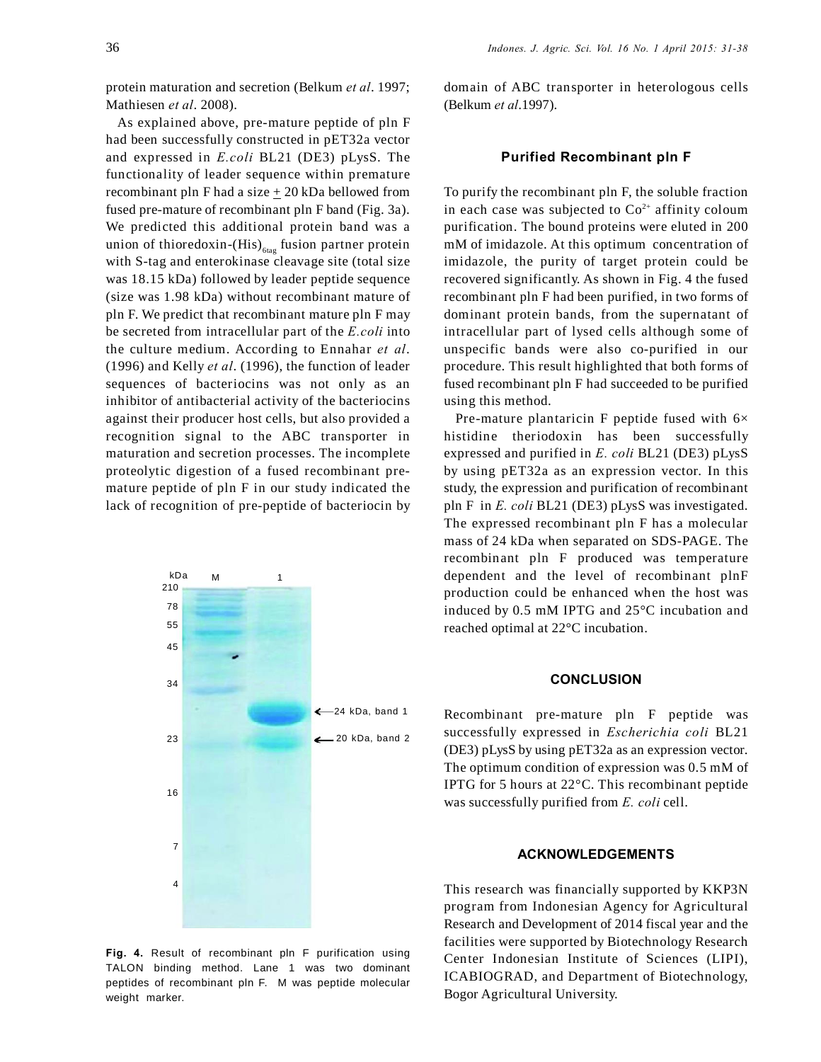protein maturation and secretion (Belkum *et al*. 1997; Mathiesen *et al*. 2008).

As explained above, pre-mature peptide of pln F had been successfully constructed in pET32a vector and expressed in *E.coli* BL21 (DE3) pLysS. The functionality of leader sequence within premature recombinant pln F had a size  $\pm$  20 kDa bellowed from fused pre-mature of recombinant pln F band (Fig. 3a). We predicted this additional protein band was a union of thioredoxin-(His) $_{6\textrm{tag}}$  fusion partner protein with S-tag and enterokinase cleavage site (total size was 18.15 kDa) followed by leader peptide sequence (size was 1.98 kDa) without recombinant mature of pln F. We predict that recombinant mature pln F may be secreted from intracellular part of the *E.coli* into the culture medium. According to Ennahar *et al*. (1996) and Kelly *et al*. (1996), the function of leader sequences of bacteriocins was not only as an inhibitor of antibacterial activity of the bacteriocins against their producer host cells, but also provided a recognition signal to the ABC transporter in maturation and secretion processes. The incomplete proteolytic digestion of a fused recombinant premature peptide of pln F in our study indicated the lack of recognition of pre-peptide of bacteriocin by



**Fig. 4.** Result of recombinant pln F purification using TALON binding method. Lane 1 was two dominant peptides of recombinant pln F. M was peptide molecular weight marker.

domain of ABC transporter in heterologous cells (Belkum *et al*.1997).

#### **Purified Recombinant pln F**

To purify the recombinant pln F, the soluble fraction in each case was subjected to  $Co<sup>2+</sup>$  affinity coloum purification. The bound proteins were eluted in 200 mM of imidazole. At this optimum concentration of imidazole, the purity of target protein could be recovered significantly. As shown in Fig. 4 the fused recombinant pln F had been purified, in two forms of dominant protein bands, from the supernatant of intracellular part of lysed cells although some of unspecific bands were also co-purified in our procedure. This result highlighted that both forms of fused recombinant pln F had succeeded to be purified using this method.

Pre-mature plantaricin F peptide fused with  $6\times$ histidine theriodoxin has been successfully expressed and purified in *E. coli* BL21 (DE3) pLysS by using pET32a as an expression vector. In this study, the expression and purification of recombinant pln F in *E. coli* BL21 (DE3) pLysS was investigated. The expressed recombinant pln F has a molecular mass of 24 kDa when separated on SDS-PAGE. The recombinant pln F produced was temperature dependent and the level of recombinant plnF production could be enhanced when the host was induced by 0.5 mM IPTG and 25°C incubation and reached optimal at 22°C incubation.

## **CONCLUSION**

Recombinant pre-mature pln F peptide was successfully expressed in *Escherichia coli* BL21 (DE3) pLysS by using pET32a as an expression vector. The optimum condition of expression was 0.5 mM of IPTG for 5 hours at 22°C. This recombinant peptide was successfully purified from *E. coli* cell.

#### **ACKNOWLEDGEMENTS**

This research was financially supported by KKP3N program from Indonesian Agency for Agricultural Research and Development of 2014 fiscal year and the facilities were supported by Biotechnology Research Center Indonesian Institute of Sciences (LIPI), ICABIOGRAD, and Department of Biotechnology, Bogor Agricultural University.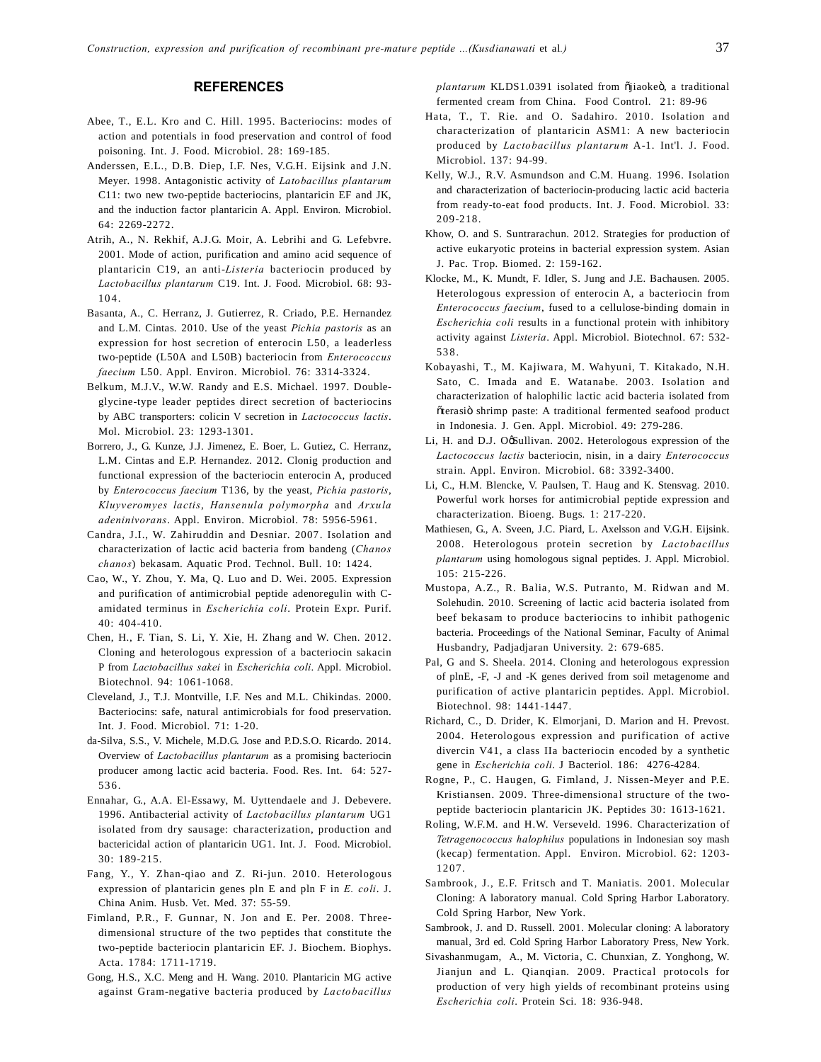#### **REFERENCES**

- Abee, T., E.L. Kro and C. Hill. 1995. Bacteriocins: modes of action and potentials in food preservation and control of food poisoning. Int. J. Food. Microbiol. 28: 169-185.
- Anderssen, E.L., D.B. Diep, I.F. Nes, V.G.H. Eijsink and J.N. Meyer. 1998. Antagonistic activity of *Latobacillus plantarum* C11: two new two-peptide bacteriocins, plantaricin EF and JK, and the induction factor plantaricin A. Appl. Environ. Microbiol. 64: 2269-2272.
- Atrih, A., N. Rekhif, A.J.G. Moir, A. Lebrihi and G. Lefebvre. 2001. Mode of action, purification and amino acid sequence of plantaricin C19, an anti-*Listeria* bacteriocin produced by *Lactobacillus plantarum* C19. Int. J. Food. Microbiol. 68: 93- 10 4.
- Basanta, A., C. Herranz, J. Gutierrez, R. Criado, P.E. Hernandez and L.M. Cintas. 2010. Use of the yeast *Pichia pastoris* as an expression for host secretion of enterocin L50, a leaderless two-peptide (L50A and L50B) bacteriocin from *Enterococcus faecium* L50. Appl. Environ. Microbiol. 76: 3314-3324.
- Belkum, M.J.V., W.W. Randy and E.S. Michael. 1997. Doubleglycine-type leader peptides direct secretion of bacteriocins by ABC transporters: colicin V secretion in *Lactococcus lactis*. Mol. Microbiol. 23: 1293-1301.
- Borrero, J., G. Kunze, J.J. Jimenez, E. Boer, L. Gutiez, C. Herranz, L.M. Cintas and E.P. Hernandez. 2012. Clonig production and functional expression of the bacteriocin enterocin A, produced by *Enterococcus faecium* T136, by the yeast, *Pichia pastoris*, *Kluyveromyes lactis*, *Hansenula polymorpha* and *Arxula adeninivorans*. Appl. Environ. Microbiol. 78: 5956-5961.
- Candra, J.I., W. Zahiruddin and Desniar. 2007. Isolation and characterization of lactic acid bacteria from bandeng (*Chanos chanos*) bekasam. Aquatic Prod. Technol. Bull. 10: 1424.
- Cao, W., Y. Zhou, Y. Ma, Q. Luo and D. Wei. 2005. Expression and purification of antimicrobial peptide adenoregulin with Camidated terminus in *Escherichia coli*. Protein Expr. Purif. 40: 404-410.
- Chen, H., F. Tian, S. Li, Y. Xie, H. Zhang and W. Chen. 2012. Cloning and heterologous expression of a bacteriocin sakacin P from *Lactobacillus sakei* in *Escherichia coli*. Appl. Microbiol. Biotechnol. 94: 1061-1068.
- Cleveland, J., T.J. Montville, I.F. Nes and M.L. Chikindas. 2000. Bacteriocins: safe, natural antimicrobials for food preservation. Int. J. Food. Microbiol. 71: 1-20.
- da-Silva, S.S., V. Michele, M.D.G. Jose and P.D.S.O. Ricardo. 2014. Overview of *Lactobacillus plantarum* as a promising bacteriocin producer among lactic acid bacteria. Food. Res. Int. 64: 527- 53 6.
- Ennahar, G., A.A. El-Essawy, M. Uyttendaele and J. Debevere. 1996. Antibacterial activity of *Lactobacillus plantarum* UG1 isolated from dry sausage: characterization, production and bactericidal action of plantaricin UG1. Int. J. Food. Microbiol. 30: 189-215.
- Fang, Y., Y. Zhan-qiao and Z. Ri-jun. 2010. Heterologous expression of plantaricin genes pln E and pln F in *E. coli*. J. China Anim. Husb. Vet. Med. 37: 55-59.
- Fimland, P.R., F. Gunnar, N. Jon and E. Per. 2008. Threedimensional structure of the two peptides that constitute the two-peptide bacteriocin plantaricin EF. J. Biochem. Biophys. Acta. 1784: 1711-1719.
- Gong, H.S., X.C. Meng and H. Wang. 2010. Plantaricin MG active against Gram-negative bacteria produced by *Lactobacillus*

*plantarum* KLDS1.0391 isolated from õjiaokeö, a traditional fermented cream from China. Food Control. 21: 89-96

- Hata, T., T. Rie. and O. Sadahiro. 2010. Isolation and characterization of plantaricin ASM1: A new bacteriocin produced by *Lactobacillus plantarum* A-1. Int'l. J. Food. Microbiol. 137: 94-99.
- Kelly, W.J., R.V. Asmundson and C.M. Huang. 1996. Isolation and characterization of bacteriocin-producing lactic acid bacteria from ready-to-eat food products. Int. J. Food. Microbiol. 33: 209-218.
- Khow, O. and S. Suntrarachun. 2012. Strategies for production of active eukaryotic proteins in bacterial expression system. Asian J. Pac. Trop. Biomed. 2: 159-162.
- Klocke, M., K. Mundt, F. Idler, S. Jung and J.E. Bachausen. 2005. Heterologous expression of enterocin A, a bacteriocin from *Enterococcus faecium*, fused to a cellulose-binding domain in *Escherichia coli* results in a functional protein with inhibitory activity against *Listeria*. Appl. Microbiol. Biotechnol. 67: 532- 53 8.
- Kobayashi, T., M. Kajiwara, M. Wahyuni, T. Kitakado, N.H. Sato, C. Imada and E. Watanabe. 2003. Isolation and characterization of halophilic lactic acid bacteria isolated from õterasiö shrimp paste: A traditional fermented seafood product in Indonesia. J. Gen. Appl. Microbiol. 49: 279-286.
- Li, H. and D.J. O&ullivan. 2002. Heterologous expression of the *Lactococcus lactis* bacteriocin, nisin, in a dairy *Enterococcus* strain. Appl. Environ. Microbiol. 68: 3392-3400.
- Li, C., H.M. Blencke, V. Paulsen, T. Haug and K. Stensvag. 2010. Powerful work horses for antimicrobial peptide expression and characterization. Bioeng. Bugs. 1: 217-220.
- Mathiesen, G., A. Sveen, J.C. Piard, L. Axelsson and V.G.H. Eijsink. 2008. Heterologous protein secretion by *Lactobacillus plantarum* using homologous signal peptides. J. Appl. Microbiol. 105: 215-226.
- Mustopa, A.Z., R. Balia, W.S. Putranto, M. Ridwan and M. Solehudin. 2010. Screening of lactic acid bacteria isolated from beef bekasam to produce bacteriocins to inhibit pathogenic bacteria. Proceedings of the National Seminar, Faculty of Animal Husbandry, Padjadjaran University. 2: 679-685.
- Pal, G and S. Sheela. 2014. Cloning and heterologous expression of plnE, -F, -J and -K genes derived from soil metagenome and purification of active plantaricin peptides. Appl. Microbiol. Biotechnol. 98: 1441-1447.
- Richard, C., D. Drider, K. Elmorjani, D. Marion and H. Prevost. 2004. Heterologous expression and purification of active divercin V41, a class IIa bacteriocin encoded by a synthetic gene in *Escherichia coli*. J Bacteriol. 186: 4276-4284.
- Rogne, P., C. Haugen, G. Fimland, J. Nissen-Meyer and P.E. Kristiansen. 2009. Three-dimensional structure of the twopeptide bacteriocin plantaricin JK. Peptides 30: 1613-1621.
- Roling, W.F.M. and H.W. Verseveld. 1996. Characterization of *Tetragenococcus halophilus* populations in Indonesian soy mash (kecap) fermentation. Appl. Environ. Microbiol. 62: 1203- 1207.
- Sambrook, J., E.F. Fritsch and T. Maniatis. 2001. Molecular Cloning: A laboratory manual. Cold Spring Harbor Laboratory. Cold Spring Harbor, New York.
- Sambrook, J. and D. Russell. 2001. Molecular cloning: A laboratory manual, 3rd ed. Cold Spring Harbor Laboratory Press, New York.
- Sivashanmugam, A., M. Victoria, C. Chunxian, Z. Yonghong, W. Jianjun and L. Qianqian. 2009. Practical protocols for production of very high yields of recombinant proteins using *Escherichia coli*. Protein Sci. 18: 936-948.